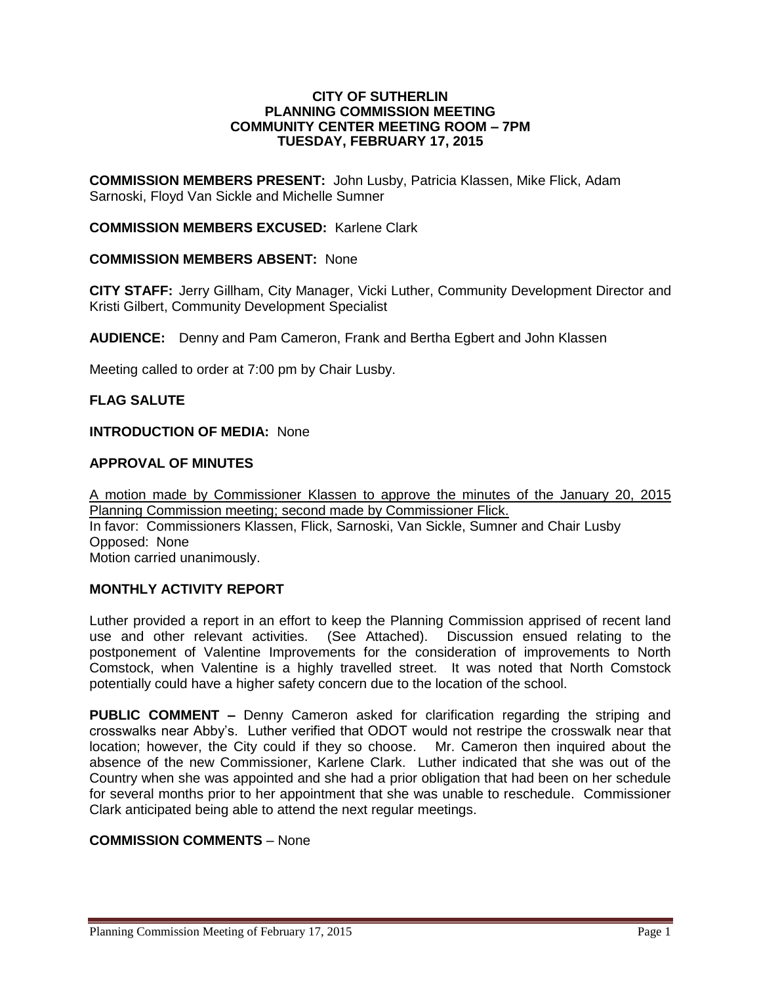#### **CITY OF SUTHERLIN PLANNING COMMISSION MEETING COMMUNITY CENTER MEETING ROOM – 7PM TUESDAY, FEBRUARY 17, 2015**

**COMMISSION MEMBERS PRESENT:** John Lusby, Patricia Klassen, Mike Flick, Adam Sarnoski, Floyd Van Sickle and Michelle Sumner

### **COMMISSION MEMBERS EXCUSED:** Karlene Clark

### **COMMISSION MEMBERS ABSENT:** None

**CITY STAFF:** Jerry Gillham, City Manager, Vicki Luther, Community Development Director and Kristi Gilbert, Community Development Specialist

**AUDIENCE:** Denny and Pam Cameron, Frank and Bertha Egbert and John Klassen

Meeting called to order at 7:00 pm by Chair Lusby.

### **FLAG SALUTE**

### **INTRODUCTION OF MEDIA:** None

### **APPROVAL OF MINUTES**

A motion made by Commissioner Klassen to approve the minutes of the January 20, 2015 Planning Commission meeting; second made by Commissioner Flick. In favor: Commissioners Klassen, Flick, Sarnoski, Van Sickle, Sumner and Chair Lusby Opposed:None Motion carried unanimously.

## **MONTHLY ACTIVITY REPORT**

Luther provided a report in an effort to keep the Planning Commission apprised of recent land use and other relevant activities. (See Attached). Discussion ensued relating to the postponement of Valentine Improvements for the consideration of improvements to North Comstock, when Valentine is a highly travelled street. It was noted that North Comstock potentially could have a higher safety concern due to the location of the school.

**PUBLIC COMMENT –** Denny Cameron asked for clarification regarding the striping and crosswalks near Abby's. Luther verified that ODOT would not restripe the crosswalk near that location; however, the City could if they so choose. Mr. Cameron then inquired about the absence of the new Commissioner, Karlene Clark. Luther indicated that she was out of the Country when she was appointed and she had a prior obligation that had been on her schedule for several months prior to her appointment that she was unable to reschedule. Commissioner Clark anticipated being able to attend the next regular meetings.

### **COMMISSION COMMENTS** – None